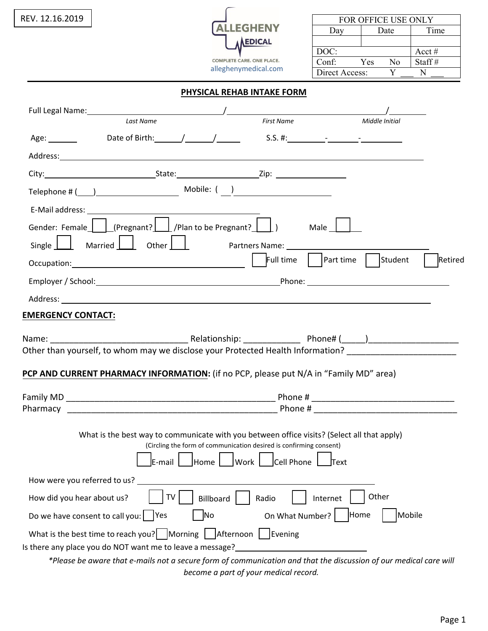| REV. 12.16.2019            |                                                                                                                                                                                                                                                                                                          |                                                                    |                                                                                                                                |                          | FOR OFFICE USE ONLY |                 |
|----------------------------|----------------------------------------------------------------------------------------------------------------------------------------------------------------------------------------------------------------------------------------------------------------------------------------------------------|--------------------------------------------------------------------|--------------------------------------------------------------------------------------------------------------------------------|--------------------------|---------------------|-----------------|
|                            |                                                                                                                                                                                                                                                                                                          |                                                                    | <b>ALLEGHENY</b>                                                                                                               | Day                      | Date                | Time            |
|                            |                                                                                                                                                                                                                                                                                                          |                                                                    | ALEDICAL                                                                                                                       |                          |                     |                 |
|                            |                                                                                                                                                                                                                                                                                                          |                                                                    | COMPLETE CARE. ONE PLACE.                                                                                                      | DOC:<br>Conf: Yes        | No                  | Acct#<br>Staff# |
|                            |                                                                                                                                                                                                                                                                                                          |                                                                    | alleghenymedical.com                                                                                                           | Direct Access:           | Y                   | N               |
|                            |                                                                                                                                                                                                                                                                                                          | PHYSICAL REHAB INTAKE FORM                                         |                                                                                                                                |                          |                     |                 |
|                            |                                                                                                                                                                                                                                                                                                          |                                                                    |                                                                                                                                |                          |                     |                 |
|                            | <b>Last Name</b>                                                                                                                                                                                                                                                                                         |                                                                    | First Name                                                                                                                     |                          | Middle Initial      |                 |
|                            |                                                                                                                                                                                                                                                                                                          |                                                                    |                                                                                                                                |                          |                     |                 |
|                            | Address: Andreas Address: Address: Address: Address: Address: Address: Address: Address: Address: Address: Address: Address: Address: Address: Address: Address: Address: Address: Address: Address: Address: Address: Address                                                                           |                                                                    |                                                                                                                                |                          |                     |                 |
|                            |                                                                                                                                                                                                                                                                                                          |                                                                    |                                                                                                                                |                          |                     |                 |
|                            | Telephone # $(\_\_)$ Mobile: $(\_\_)$                                                                                                                                                                                                                                                                    |                                                                    |                                                                                                                                |                          |                     |                 |
|                            |                                                                                                                                                                                                                                                                                                          |                                                                    |                                                                                                                                |                          |                     |                 |
|                            | Gender: Female $\Box$ (Pregnant? $\Box$ /Plan to be Pregnant? $\Box$ ) Male $\Box$                                                                                                                                                                                                                       |                                                                    |                                                                                                                                |                          |                     |                 |
|                            | Single   Married   Other     Partners Name:                                                                                                                                                                                                                                                              |                                                                    |                                                                                                                                |                          |                     |                 |
|                            | Occupation: <u>Community Contract of Student Contract of Student Contract of Student Contract of Student Contract Occupation:</u>                                                                                                                                                                        |                                                                    |                                                                                                                                |                          |                     | Retired         |
|                            |                                                                                                                                                                                                                                                                                                          |                                                                    |                                                                                                                                |                          |                     |                 |
|                            |                                                                                                                                                                                                                                                                                                          |                                                                    |                                                                                                                                |                          |                     |                 |
| <b>EMERGENCY CONTACT:</b>  |                                                                                                                                                                                                                                                                                                          |                                                                    |                                                                                                                                |                          |                     |                 |
|                            |                                                                                                                                                                                                                                                                                                          |                                                                    |                                                                                                                                |                          |                     |                 |
|                            |                                                                                                                                                                                                                                                                                                          |                                                                    |                                                                                                                                |                          |                     |                 |
|                            | Other than yourself, to whom may we disclose your Protected Health Information?                                                                                                                                                                                                                          |                                                                    |                                                                                                                                |                          |                     |                 |
|                            | PCP AND CURRENT PHARMACY INFORMATION: (if no PCP, please put N/A in "Family MD" area)                                                                                                                                                                                                                    |                                                                    |                                                                                                                                |                          |                     |                 |
|                            |                                                                                                                                                                                                                                                                                                          |                                                                    |                                                                                                                                |                          |                     |                 |
|                            |                                                                                                                                                                                                                                                                                                          |                                                                    |                                                                                                                                |                          |                     |                 |
| Pharmacy                   |                                                                                                                                                                                                                                                                                                          |                                                                    |                                                                                                                                |                          |                     |                 |
|                            | What is the best way to communicate with you between office visits? (Select all that apply)                                                                                                                                                                                                              |                                                                    |                                                                                                                                |                          |                     |                 |
|                            |                                                                                                                                                                                                                                                                                                          | (Circling the form of communication desired is confirming consent) |                                                                                                                                |                          |                     |                 |
|                            | E-mail                                                                                                                                                                                                                                                                                                   | Home I                                                             | Work       Cell Phone                                                                                                          | $\overline{\text{Text}}$ |                     |                 |
|                            |                                                                                                                                                                                                                                                                                                          |                                                                    |                                                                                                                                |                          |                     |                 |
|                            | TV                                                                                                                                                                                                                                                                                                       |                                                                    |                                                                                                                                | Internet                 | Other               |                 |
|                            |                                                                                                                                                                                                                                                                                                          | No                                                                 |                                                                                                                                |                          |                     | Mobile          |
|                            |                                                                                                                                                                                                                                                                                                          |                                                                    |                                                                                                                                |                          |                     |                 |
|                            |                                                                                                                                                                                                                                                                                                          |                                                                    |                                                                                                                                |                          |                     |                 |
|                            |                                                                                                                                                                                                                                                                                                          |                                                                    |                                                                                                                                |                          |                     |                 |
|                            |                                                                                                                                                                                                                                                                                                          | become a part of your medical record.                              |                                                                                                                                |                          |                     |                 |
| How did you hear about us? | Do we have consent to call you: $ $ Yes<br>What is the best time to reach you? Morning   $After a point in the image.$<br>Is there any place you do NOT want me to leave a message?<br>*Please be aware that e-mails not a secure form of communication and that the discussion of our medical care will | Billboard                                                          | Radio<br><u> 1989 - Jan Stern Stern Stern Stern Stern Stern Stern Stern Stern Stern Stern Stern Stern Stern Stern Stern St</u> | On What Number?   Home   |                     |                 |

Page 1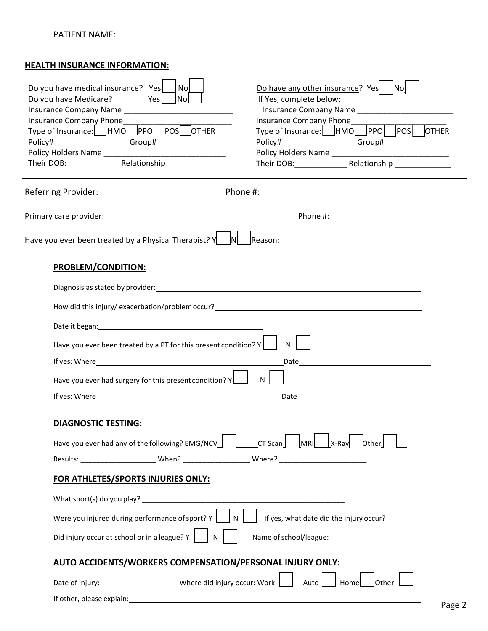## **HEALTH INSURANCE INFORMATION:**

| Nol<br>Do you have medical insurance? Yes                                                                                                                                                                                     | Nol<br>Do have any other insurance? Yes                                                                                                                                                                                       |  |  |
|-------------------------------------------------------------------------------------------------------------------------------------------------------------------------------------------------------------------------------|-------------------------------------------------------------------------------------------------------------------------------------------------------------------------------------------------------------------------------|--|--|
| Do you have Medicare?<br> No <br>Yes                                                                                                                                                                                          | If Yes, complete below;                                                                                                                                                                                                       |  |  |
| Insurance Company Phone_                                                                                                                                                                                                      | Insurance Company Phone___________                                                                                                                                                                                            |  |  |
| Type of Insurance: HMO PPO POS OTHER                                                                                                                                                                                          | Type of Insurance: HMO PPO POS OTHER                                                                                                                                                                                          |  |  |
| Policy#_____________________Group#____________________                                                                                                                                                                        |                                                                                                                                                                                                                               |  |  |
|                                                                                                                                                                                                                               |                                                                                                                                                                                                                               |  |  |
|                                                                                                                                                                                                                               |                                                                                                                                                                                                                               |  |  |
|                                                                                                                                                                                                                               |                                                                                                                                                                                                                               |  |  |
|                                                                                                                                                                                                                               |                                                                                                                                                                                                                               |  |  |
|                                                                                                                                                                                                                               |                                                                                                                                                                                                                               |  |  |
| <b>PROBLEM/CONDITION:</b>                                                                                                                                                                                                     |                                                                                                                                                                                                                               |  |  |
|                                                                                                                                                                                                                               | Diagnosis as stated by provider: example and a state of the state of the state of the state of the state of the state of the state of the state of the state of the state of the state of the state of the state of the state |  |  |
|                                                                                                                                                                                                                               | How did this injury/exacerbation/problem occur? The contract of the contract of the contract of the contract of                                                                                                               |  |  |
|                                                                                                                                                                                                                               |                                                                                                                                                                                                                               |  |  |
| Have you ever been treated by a PT for this present condition? Y                                                                                                                                                              | N                                                                                                                                                                                                                             |  |  |
| If yes: Where the contract of the contract of the contract of the contract of the contract of the contract of the contract of the contract of the contract of the contract of the contract of the contract of the contract of |                                                                                                                                                                                                                               |  |  |
| Have you ever had surgery for this present condition? $Y$                                                                                                                                                                     | N                                                                                                                                                                                                                             |  |  |
|                                                                                                                                                                                                                               |                                                                                                                                                                                                                               |  |  |
| <b>DIAGNOSTIC TESTING:</b>                                                                                                                                                                                                    |                                                                                                                                                                                                                               |  |  |
| Have you ever had any of the following? EMG/NCV $\parallel$                                                                                                                                                                   | $x$ -Ray $b$ ther<br>$CT$ Scan<br> MRI                                                                                                                                                                                        |  |  |
|                                                                                                                                                                                                                               |                                                                                                                                                                                                                               |  |  |
| FOR ATHLETES/SPORTS INJURIES ONLY:                                                                                                                                                                                            |                                                                                                                                                                                                                               |  |  |
| What sport(s) do you play?<br>$\frac{1}{2}$                                                                                                                                                                                   |                                                                                                                                                                                                                               |  |  |
| Were you injured during performance of sport? $Y$<br>$\Box$ If yes, what date did the injury occur?<br>N                                                                                                                      |                                                                                                                                                                                                                               |  |  |
| Did injury occur at school or in a league? $Y \mid N$                                                                                                                                                                         |                                                                                                                                                                                                                               |  |  |
| AUTO ACCIDENTS/WORKERS COMPENSATION/PERSONAL INJURY ONLY:                                                                                                                                                                     |                                                                                                                                                                                                                               |  |  |
| Date of Injury: ___________________________Where did injury occur: Work_                                                                                                                                                      | Other<br>Auto  <br>Home                                                                                                                                                                                                       |  |  |
|                                                                                                                                                                                                                               | Page 2                                                                                                                                                                                                                        |  |  |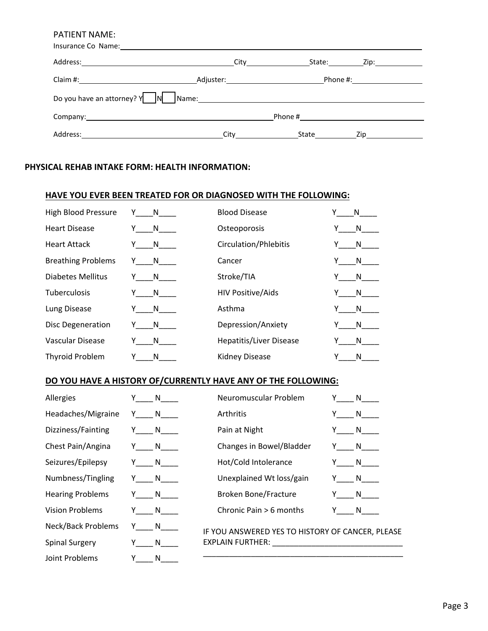|                                     |                                                                                                                                                                                                                                    | State: | Zip:_____________                  |  |
|-------------------------------------|------------------------------------------------------------------------------------------------------------------------------------------------------------------------------------------------------------------------------------|--------|------------------------------------|--|
|                                     |                                                                                                                                                                                                                                    |        | Phone #:______________________     |  |
| Do you have an attorney? $Y \cap N$ |                                                                                                                                                                                                                                    |        |                                    |  |
|                                     |                                                                                                                                                                                                                                    |        |                                    |  |
|                                     | City <b>City</b> the control of the control of the control of the control of the control of the control of the control of the control of the control of the control of the control of the control of the control of the control of | State  | $\mathsf{Zip} \_\_\_\_\_\_\_\_\_\$ |  |

## **PHYSICAL REHAB INTAKE FORM: HEALTH INFORMATION:**

## **HAVE YOU EVER BEEN TREATED FOR OR DIAGNOSED WITH THE FOLLOWING:**

| <b>High Blood Pressure</b> | Y<br>N a | <b>Blood Disease</b>           | N |
|----------------------------|----------|--------------------------------|---|
| <b>Heart Disease</b>       | N.       | Osteoporosis                   | N |
| <b>Heart Attack</b>        | N.<br>Y  | Circulation/Phlebitis          | N |
| <b>Breathing Problems</b>  | Y<br>N.  | Cancer                         | N |
| Diabetes Mellitus          | N<br>Y   | Stroke/TIA                     | N |
| <b>Tuberculosis</b>        | N.       | <b>HIV Positive/Aids</b>       | N |
| Lung Disease               | N.       | Asthma                         | N |
| <b>Disc Degeneration</b>   | N<br>Y.  | Depression/Anxiety             | N |
| Vascular Disease           | N.       | <b>Hepatitis/Liver Disease</b> | N |
| <b>Thyroid Problem</b>     | Υ<br>N   | <b>Kidney Disease</b>          | N |

## **DO YOU HAVE A HISTORY OF/CURRENTLY HAVE ANY OF THE FOLLOWING:**

| Allergies                 | N        | Neuromuscular Problem                                                                                           | N                |
|---------------------------|----------|-----------------------------------------------------------------------------------------------------------------|------------------|
| Headaches/Migraine        | Y N      | Arthritis                                                                                                       | N                |
| Dizziness/Fainting        | Y N      | Pain at Night                                                                                                   | $\mathsf{N}$     |
| Chest Pain/Angina         | Y N      | Changes in Bowel/Bladder                                                                                        | $Y \t N$         |
| Seizures/Epilepsy         | Y N      | Hot/Cold Intolerance                                                                                            | $Y$ $N$ $\qquad$ |
| Numbness/Tingling         | Y N      | Unexplained Wt loss/gain                                                                                        | $Y \_ N \_$      |
| <b>Hearing Problems</b>   | Y N      | <b>Broken Bone/Fracture</b>                                                                                     | $Y \_ N \_$      |
| <b>Vision Problems</b>    | Y N      | Chronic Pain > 6 months                                                                                         | Y N              |
| <b>Neck/Back Problems</b> | $Y \t N$ | IF YOU ANSWERED YES TO HISTORY OF CANCER, PLEASE                                                                |                  |
| <b>Spinal Surgery</b>     | Y N      | EXPLAIN FURTHER: New York State State State State State State State State State State State State State State S |                  |
| Joint Problems            | Y.<br>N  |                                                                                                                 |                  |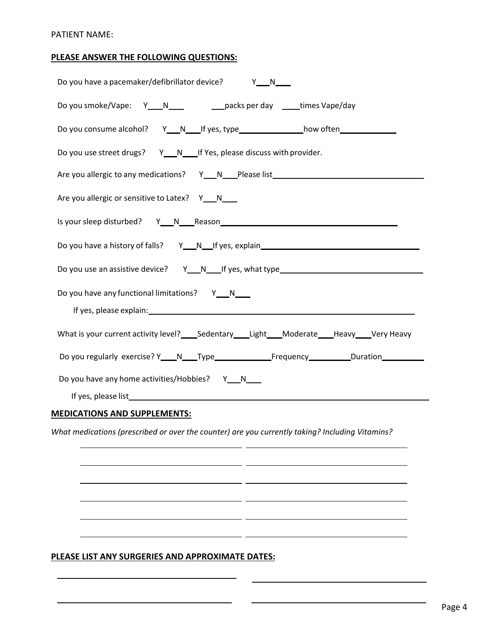### **PLEASE ANSWER THE FOLLOWING QUESTIONS:**

| Do you have a pacemaker/defibrillator device? Y_N_N                                                                                                                                                                                                                              |
|----------------------------------------------------------------------------------------------------------------------------------------------------------------------------------------------------------------------------------------------------------------------------------|
| Do you smoke/Vape: Y___N____ ____________packs per day _____times Vape/day                                                                                                                                                                                                       |
| Do you consume alcohol? Y__N___If yes, type ________________how often __________                                                                                                                                                                                                 |
| Do you use street drugs? Y__N__If Yes, please discuss with provider.                                                                                                                                                                                                             |
| Are you allergic to any medications? Y__N___Please list_________________________                                                                                                                                                                                                 |
| Are you allergic or sensitive to Latex? Y__N__                                                                                                                                                                                                                                   |
|                                                                                                                                                                                                                                                                                  |
| Do you have a history of falls? Y___N___If yes, explain_________________________                                                                                                                                                                                                 |
| Do you use an assistive device? Y___N____If yes, what type______________________                                                                                                                                                                                                 |
| Do you have any functional limitations? Y__N__<br>If yes, please explain: The contract of the contract of the contract of the contract of the contract of the contract of the contract of the contract of the contract of the contract of the contract of the contract of the co |
| What is your current activity level? _____Sedentary _____Light ____Moderate ____Heavy ____Very Heavy                                                                                                                                                                             |
|                                                                                                                                                                                                                                                                                  |
| Do you have any home activities/Hobbies? Y_N__                                                                                                                                                                                                                                   |

# **MEDICATIONS AND SUPPLEMENTS:**

*What medications (prescribed or over the counter) are you currently taking? Including Vitamins?*

 $\overline{a}$ 

 $\overline{a}$ 

 $=$   $-$ 

 $-$ 

 $-1$ 

 $-$ 

### **PLEASE LIST ANY SURGERIES AND APPROXIMATE DATES:**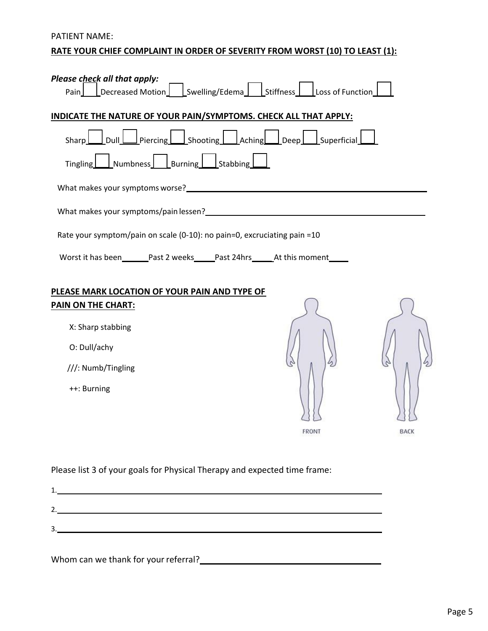# PATIENT NAME: **RATE YOUR CHIEF COMPLAINT IN ORDER OF SEVERITY FROM WORST (10) TO LEAST (1):**

| Please check all that apply:                                                                                                                                                                                                     |       |             |
|----------------------------------------------------------------------------------------------------------------------------------------------------------------------------------------------------------------------------------|-------|-------------|
| LDecreased Motion_1 LSwelling/Edema_1 LStiffness_1 Loss of Function<br>Pair                                                                                                                                                      |       |             |
| INDICATE THE NATURE OF YOUR PAIN/SYMPTOMS. CHECK ALL THAT APPLY:                                                                                                                                                                 |       |             |
| _Dull Leviercing Levie Shooting Leviel Aching Levien Louperficial<br>Sharp                                                                                                                                                       |       |             |
| $\perp$ Numbness $\perp$ Burning Stabbing<br>Tingling                                                                                                                                                                            |       |             |
| What makes your symptoms worse?<br><u> What makes your symptoms worse?</u>                                                                                                                                                       |       |             |
| What makes your symptoms/pain lessen?<br>Microsoft Contract Contract Contract Contract Contract Contract Contract Contract Contract Contract Contract Contract Contract Contract Contract Contract Contract Contract Contract Co |       |             |
| Rate your symptom/pain on scale (0-10): no pain=0, excruciating pain =10                                                                                                                                                         |       |             |
| Worst it has been________Past 2 weeks______Past 24hrs_______At this moment______                                                                                                                                                 |       |             |
| PLEASE MARK LOCATION OF YOUR PAIN AND TYPE OF                                                                                                                                                                                    |       |             |
| <b>PAIN ON THE CHART:</b>                                                                                                                                                                                                        |       |             |
| X: Sharp stabbing                                                                                                                                                                                                                |       |             |
| O: Dull/achy                                                                                                                                                                                                                     |       |             |
| ///: Numb/Tingling                                                                                                                                                                                                               |       |             |
| ++: Burning                                                                                                                                                                                                                      |       |             |
|                                                                                                                                                                                                                                  |       |             |
|                                                                                                                                                                                                                                  | FRONT | <b>BACK</b> |
|                                                                                                                                                                                                                                  |       |             |
| Please list 3 of your goals for Physical Therapy and expected time frame:                                                                                                                                                        |       |             |

| ာ<br>ັ |  |  |
|--------|--|--|

Whom can we thank for your referral?<br>
<u>
Whom can we thank for your referral?</u>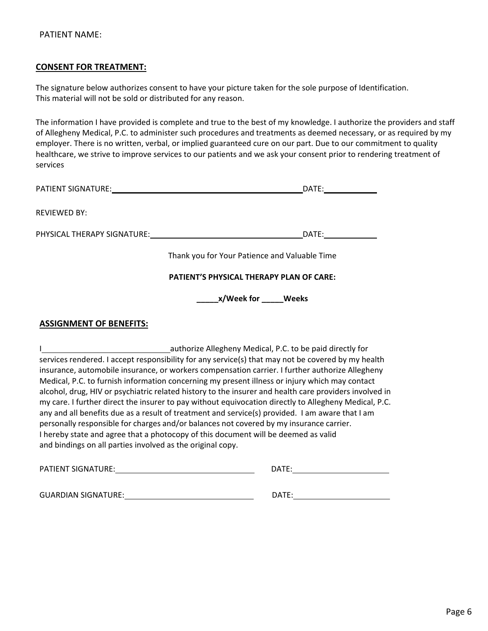### **CONSENT FOR TREATMENT:**

The signature below authorizes consent to have your picture taken for the sole purpose of Identification. This material will not be sold or distributed for any reason.

The information I have provided is complete and true to the best of my knowledge. I authorize the providers and staff of Allegheny Medical, P.C. to administer such procedures and treatments as deemed necessary, or as required by my employer. There is no written, verbal, or implied guaranteed cure on our part. Due to our commitment to quality healthcare, we strive to improve services to our patients and we ask your consent prior to rendering treatment of services

|                     | DATE:                                         |
|---------------------|-----------------------------------------------|
| <b>REVIEWED BY:</b> |                                               |
|                     | DATE:                                         |
|                     | Thank you for Your Patience and Valuable Time |
|                     | PATIENT'S PHYSICAL THERAPY PLAN OF CARE:      |
|                     |                                               |
|                     |                                               |

## **ASSIGNMENT OF BENEFITS:**

I authorize Allegheny Medical, P.C. to be paid directly for services rendered. I accept responsibility for any service(s) that may not be covered by my health insurance, automobile insurance, or workers compensation carrier. I further authorize Allegheny Medical, P.C. to furnish information concerning my present illness or injury which may contact alcohol, drug, HIV or psychiatric related history to the insurer and health care providers involved in my care. I further direct the insurer to pay without equivocation directly to Allegheny Medical, P.C. any and all benefits due as a result of treatment and service(s) provided. I am aware that I am personally responsible for charges and/or balances not covered by my insurance carrier. I hereby state and agree that a photocopy of this document will be deemed as valid and bindings on all parties involved as the original copy.

| <b>PATIENT SIGNATURE:</b> | DATF <sup>.</sup> |
|---------------------------|-------------------|
|                           |                   |
|                           |                   |

GUARDIAN SIGNATURE: DATE: DATE: DATE: DATE: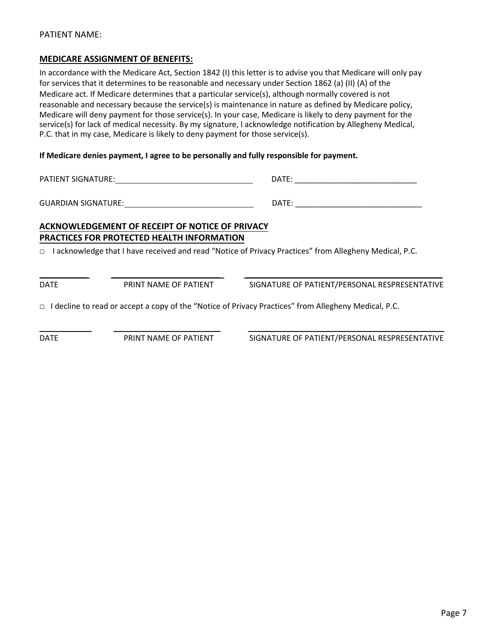#### **MEDICARE ASSIGNMENT OF BENEFITS:**

In accordance with the Medicare Act, Section 1842 (I) this letter is to advise you that Medicare will only pay for services that it determines to be reasonable and necessary under Section 1862 (a) (II) (A) of the Medicare act. If Medicare determines that a particular service(s), although normally covered is not reasonable and necessary because the service(s) is maintenance in nature as defined by Medicare policy, Medicare will deny payment for those service(s). In your case, Medicare is likely to deny payment for the service(s) for lack of medical necessity. By my signature, I acknowledge notification by Allegheny Medical, P.C. that in my case, Medicare is likely to deny payment for those service(s).

**If Medicare denies payment, I agree to be personally and fully responsible for payment.**

DATE: \_\_\_\_\_\_\_\_\_\_\_\_\_\_\_\_\_\_\_\_\_\_\_\_\_\_\_\_ PATIENT SIGNATURE:

DATE: GUARDIAN SIGNATURE:

# **ACKNOWLEDGEMENT OF RECEIPT OF NOTICE OF PRIVACY PRACTICES FOR PROTECTED HEALTH INFORMATION**

□ I acknowledge that I have received and read "Notice of Privacy Practices" from Allegheny Medical, P.C.

\_\_\_\_\_\_\_\_\_\_\_ \_\_\_\_\_\_\_\_\_\_\_\_\_\_\_\_\_\_\_\_\_\_\_\_\_ \_\_\_\_\_\_\_\_\_\_\_\_\_\_\_\_\_\_\_\_\_\_\_\_\_\_\_\_\_\_\_\_\_\_\_\_\_\_\_\_\_\_\_\_\_

\_\_\_\_\_\_\_\_\_\_\_\_ \_\_\_\_\_\_\_\_\_\_\_\_\_\_\_\_\_\_\_\_\_\_\_\_ \_\_\_\_\_\_\_\_\_\_\_\_\_\_\_\_\_\_\_\_\_\_\_\_\_\_\_\_\_\_\_\_\_\_\_\_\_\_\_\_\_\_\_\_\_

DATE PRINT NAME OF PATIENT SIGNATURE OF PATIENT/PERSONAL RESPRESENTATIVE

□ I decline to read or accept a copy of the "Notice of Privacy Practices" from Allegheny Medical, P.C.

DATE PRINT NAME OF PATIENT SIGNATURE OF PATIENT/PERSONAL RESPRESENTATIVE